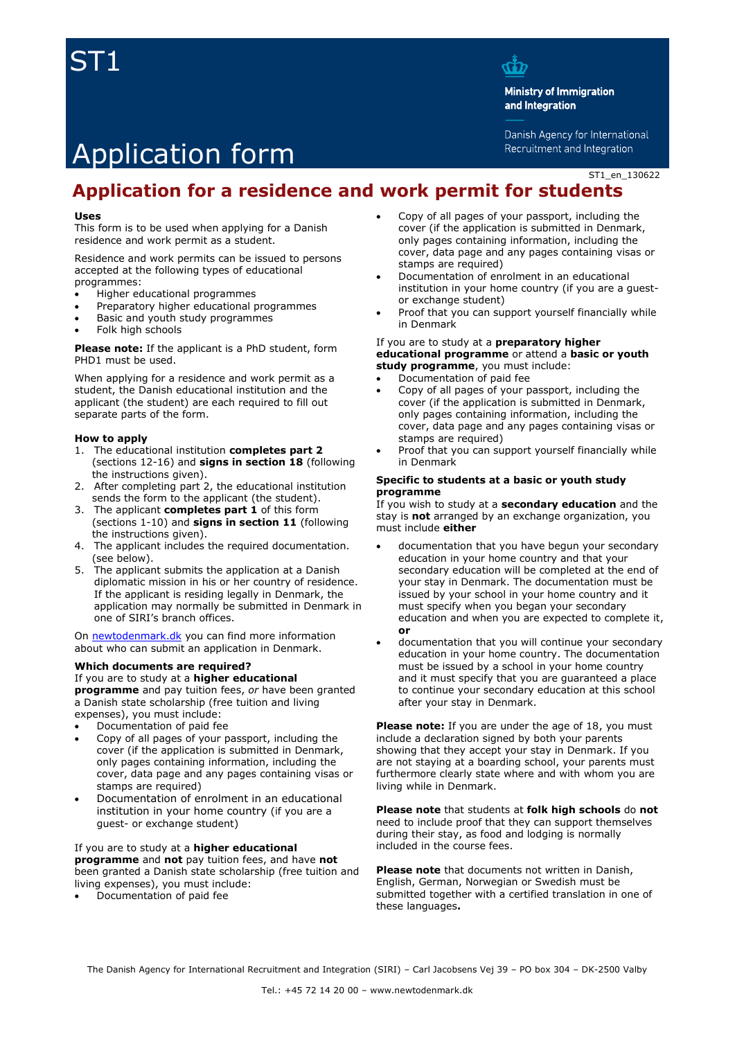## ST1



**Ministry of Immigration** and Integration

Danish Agency for International Recruitment and Integration

## Application form

ST1\_en\_130622

## **Application for a residence and work permit for students**

#### **Uses**

This form is to be used when applying for a Danish residence and work permit as a student.

Residence and work permits can be issued to persons accepted at the following types of educational programmes:

- Higher educational programmes
- Preparatory higher educational programmes
- Basic and youth study programmes
- Folk high schools

**Please note:** If the applicant is a PhD student, form PHD1 must be used.

When applying for a residence and work permit as a student, the Danish educational institution and the applicant (the student) are each required to fill out separate parts of the form.

#### **How to apply**

- 1. The educational institution **completes part 2** (sections 12-16) and **signs in section 18** (following the instructions given).
- 2. After completing part 2, the educational institution sends the form to the applicant (the student).
- 3. The applicant **completes part 1** of this form (sections 1-10) and **signs in section 11** (following the instructions given).
- 4. The applicant includes the required documentation. (see below).
- 5. The applicant submits the application at a Danish diplomatic mission in his or her country of residence. If the applicant is residing legally in Denmark, the application may normally be submitted in Denmark in one of SIRI's branch offices.

On [newtodenmark.dk](http://www.newtodenmark.dk/) you can find more information about who can submit an application in Denmark.

#### **Which documents are required?**

#### If you are to study at a **higher educational**

**programme** and pay tuition fees, *or* have been granted a Danish state scholarship (free tuition and living expenses), you must include:

- Documentation of paid fee
- Copy of all pages of your passport, including the cover (if the application is submitted in Denmark, only pages containing information, including the cover, data page and any pages containing visas or stamps are required)
- Documentation of enrolment in an educational institution in your home country (if you are a guest- or exchange student)

#### If you are to study at a **higher educational**

**programme** and **not** pay tuition fees, and have **not** been granted a Danish state scholarship (free tuition and living expenses), you must include:

Documentation of paid fee

- Copy of all pages of your passport, including the cover (if the application is submitted in Denmark, only pages containing information, including the cover, data page and any pages containing visas or stamps are required)
- Documentation of enrolment in an educational institution in your home country (if you are a guestor exchange student)
- Proof that you can support yourself financially while in Denmark

#### If you are to study at a **preparatory higher educational programme** or attend a **basic or youth study programme**, you must include:

- Documentation of paid fee
- Copy of all pages of your passport, including the cover (if the application is submitted in Denmark, only pages containing information, including the cover, data page and any pages containing visas or stamps are required)
- Proof that you can support yourself financially while in Denmark

#### **Specific to students at a basic or youth study programme**

If you wish to study at a **secondary education** and the stay is **not** arranged by an exchange organization, you must include **either**

- documentation that you have begun your secondary education in your home country and that your secondary education will be completed at the end of your stay in Denmark. The documentation must be issued by your school in your home country and it must specify when you began your secondary education and when you are expected to complete it, **or**
- documentation that you will continue your secondary education in your home country. The documentation must be issued by a school in your home country and it must specify that you are guaranteed a place to continue your secondary education at this school after your stay in Denmark.

Please note: If you are under the age of 18, you must include a declaration signed by both your parents showing that they accept your stay in Denmark. If you are not staying at a boarding school, your parents must furthermore clearly state where and with whom you are living while in Denmark.

**Please note** that students at **folk high schools** do **not** need to include proof that they can support themselves during their stay, as food and lodging is normally included in the course fees.

**Please note** that documents not written in Danish, English, German, Norwegian or Swedish must be submitted together with a certified translation in one of these languages**.**

The Danish Agency for International Recruitment and Integration (SIRI) – Carl Jacobsens Vej 39 – PO box 304 – DK-2500 Valby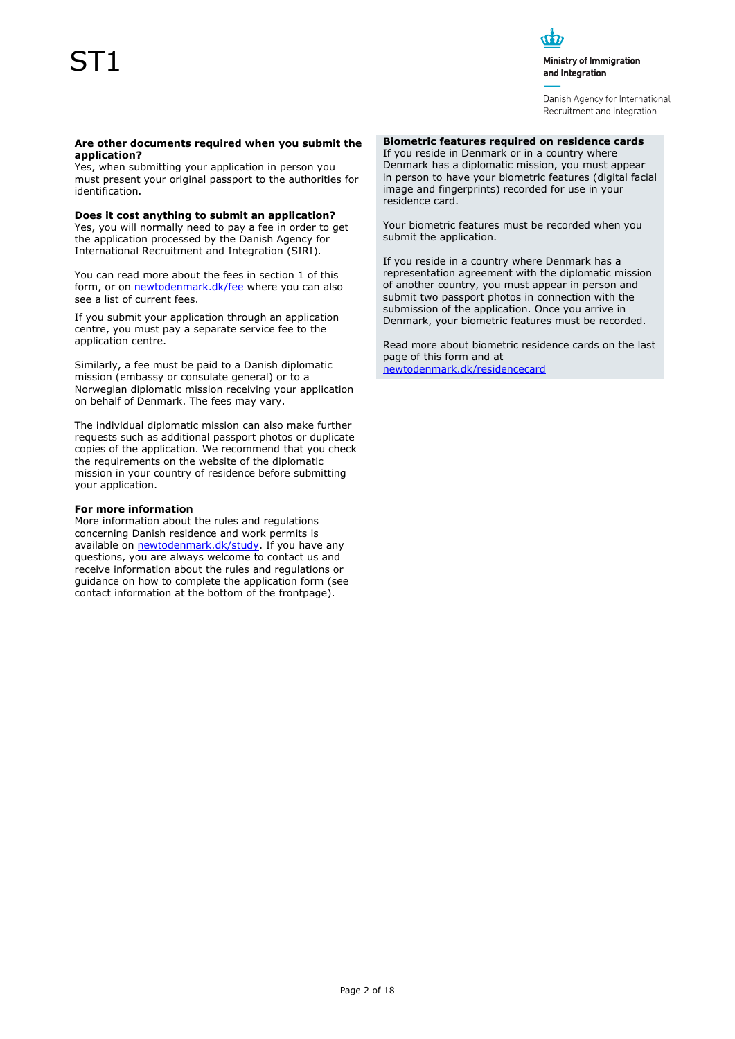# ST1



Ministry of Immigration and Integration

Danish Agency for International Recruitment and Integration

#### **Are other documents required when you submit the application?**

Yes, when submitting your application in person you must present your original passport to the authorities for identification.

**Does it cost anything to submit an application?**

Yes, you will normally need to pay a fee in order to get the application processed by the Danish Agency for International Recruitment and Integration (SIRI).

You can read more about the fees in section 1 of this form, or o[n newtodenmark.dk/fee](http://www.newtodenmark.dk/fee) where you can also see a list of current fees.

If you submit your application through an application centre, you must pay a separate service fee to the application centre.

Similarly, a fee must be paid to a Danish diplomatic mission (embassy or consulate general) or to a Norwegian diplomatic mission receiving your application on behalf of Denmark. The fees may vary.

The individual diplomatic mission can also make further requests such as additional passport photos or duplicate copies of the application. We recommend that you check the requirements on the website of the diplomatic mission in your country of residence before submitting your application.

#### **For more information**

More information about the rules and regulations concerning Danish residence and work permits is available on [newtodenmark.dk/study.](http://www.newtodenmark.dk/study) If you have any questions, you are always welcome to contact us and receive information about the rules and regulations or guidance on how to complete the application form (see contact information at the bottom of the frontpage).

### **Biometric features required on residence cards**

If you reside in Denmark or in a country where Denmark has a diplomatic mission, you must appear in person to have your biometric features (digital facial image and fingerprints) recorded for use in your residence card.

Your biometric features must be recorded when you submit the application.

If you reside in a country where Denmark has a representation agreement with the diplomatic mission of another country, you must appear in person and submit two passport photos in connection with the submission of the application. Once you arrive in Denmark, your biometric features must be recorded.

Read more about biometric residence cards on the last page of this form and at [newtodenmark.dk/residencecard](http://www.newtodenmark.dk/residencecard)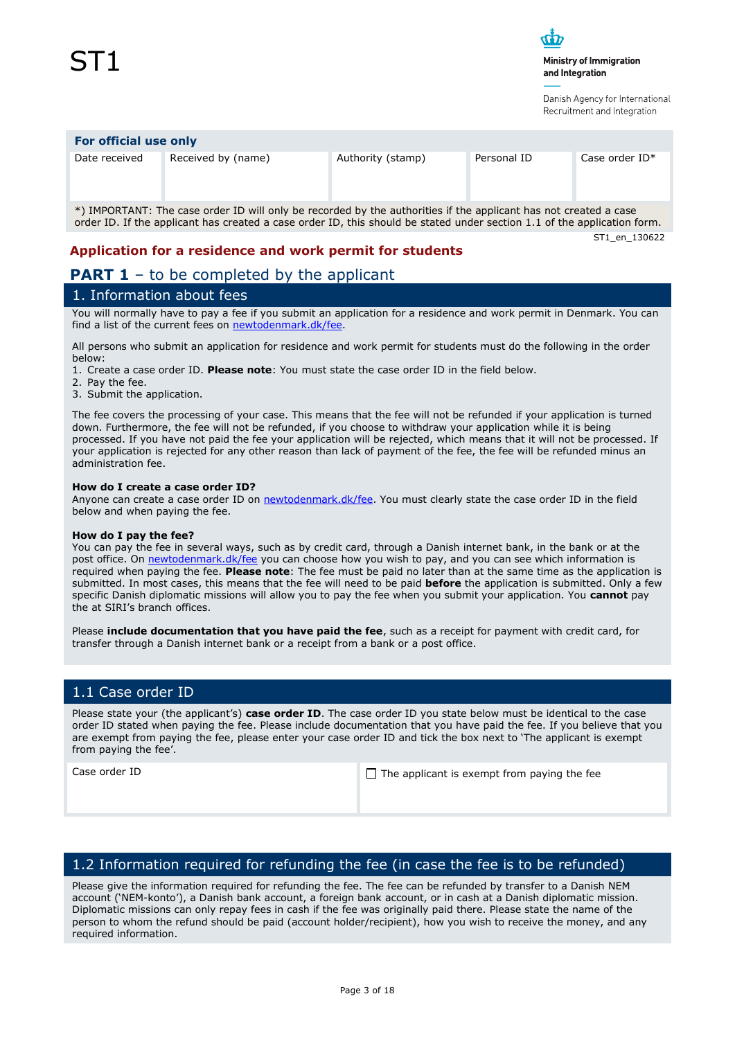

Danish Agency for International Recruitment and Integration

#### **For official use only**

Date received Received by (name) Authority (stamp) Personal ID Case order ID<sup>\*</sup>

\*) IMPORTANT: The case order ID will only be recorded by the authorities if the applicant has not created a case order ID. If the applicant has created a case order ID, this should be stated under section 1.1 of the application form.

ST1\_en\_130622

### **Application for a residence and work permit for students**

## **PART 1** – to be completed by the applicant

## 1. Information about fees

You will normally have to pay a fee if you submit an application for a residence and work permit in Denmark. You can find a list of the current fees on [newtodenmark.dk/fee.](http://www.newtodenmark.dk/fee)

All persons who submit an application for residence and work permit for students must do the following in the order below:

1. Create a case order ID. **Please note**: You must state the case order ID in the field below.

- 2. Pay the fee.
- 3. Submit the application.

The fee covers the processing of your case. This means that the fee will not be refunded if your application is turned down. Furthermore, the fee will not be refunded, if you choose to withdraw your application while it is being processed. If you have not paid the fee your application will be rejected, which means that it will not be processed. If your application is rejected for any other reason than lack of payment of the fee, the fee will be refunded minus an administration fee.

#### **How do I create a case order ID?**

Anyone can create a case order ID on [newtodenmark.dk/fee.](http://www.newtodenmark.dk/fee) You must clearly state the case order ID in the field below and when paying the fee.

#### **How do I pay the fee?**

You can pay the fee in several ways, such as by credit card, through a Danish internet bank, in the bank or at the post office. On [newtodenmark.dk/fee](http://www.newtodenmark.dk/fee) you can choose how you wish to pay, and you can see which information is required when paying the fee. **Please note**: The fee must be paid no later than at the same time as the application is submitted. In most cases, this means that the fee will need to be paid **before** the application is submitted. Only a few specific Danish diplomatic missions will allow you to pay the fee when you submit your application. You **cannot** pay the at SIRI's branch offices.

Please **include documentation that you have paid the fee**, such as a receipt for payment with credit card, for transfer through a Danish internet bank or a receipt from a bank or a post office.

## 1.1 Case order ID

Please state your (the applicant's) **case order ID**. The case order ID you state below must be identical to the case order ID stated when paying the fee. Please include documentation that you have paid the fee. If you believe that you are exempt from paying the fee, please enter your case order ID and tick the box next to 'The applicant is exempt from paying the fee'.

Case order ID  $\Box$  The applicant is exempt from paying the fee

## 1.2 Information required for refunding the fee (in case the fee is to be refunded)

Please give the information required for refunding the fee. The fee can be refunded by transfer to a Danish NEM account ('NEM-konto'), a Danish bank account, a foreign bank account, or in cash at a Danish diplomatic mission. Diplomatic missions can only repay fees in cash if the fee was originally paid there. Please state the name of the person to whom the refund should be paid (account holder/recipient), how you wish to receive the money, and any required information.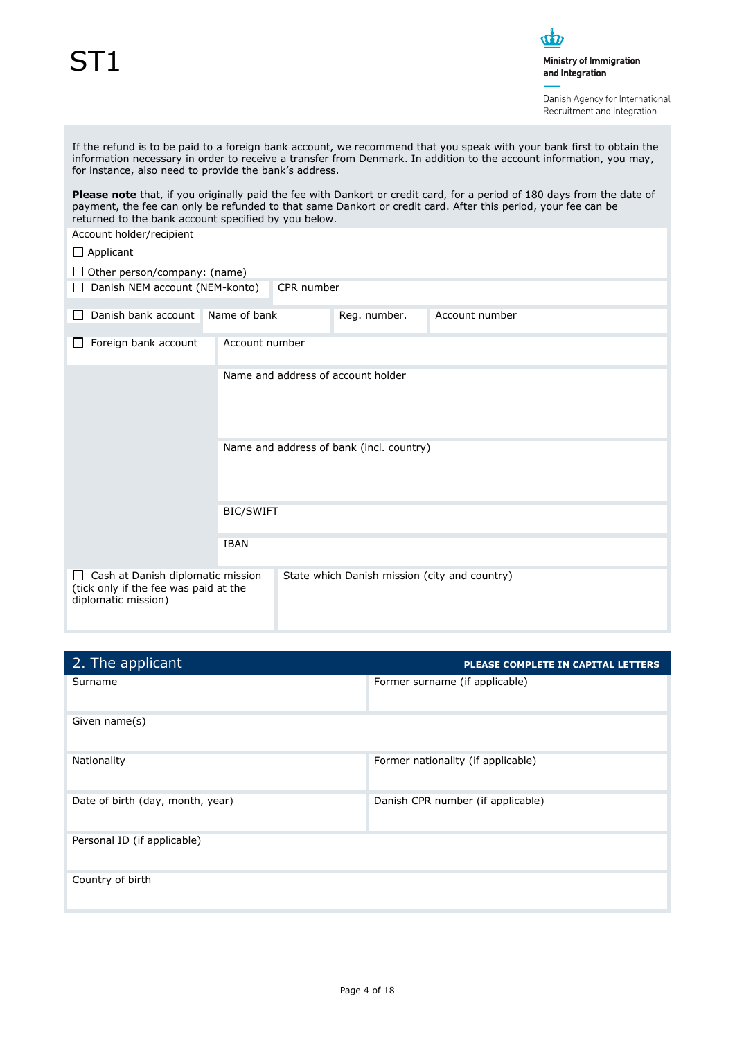# ST1

 $\dot{\Phi}$ Ministry of Immigration

and Integration

Danish Agency for International Recruitment and Integration

| If the refund is to be paid to a foreign bank account, we recommend that you speak with your bank first to obtain the<br>information necessary in order to receive a transfer from Denmark. In addition to the account information, you may,<br>for instance, also need to provide the bank's address. |                  |                                    |              |                |  |  |  |
|--------------------------------------------------------------------------------------------------------------------------------------------------------------------------------------------------------------------------------------------------------------------------------------------------------|------------------|------------------------------------|--------------|----------------|--|--|--|
| Please note that, if you originally paid the fee with Dankort or credit card, for a period of 180 days from the date of<br>payment, the fee can only be refunded to that same Dankort or credit card. After this period, your fee can be<br>returned to the bank account specified by you below.       |                  |                                    |              |                |  |  |  |
| Account holder/recipient                                                                                                                                                                                                                                                                               |                  |                                    |              |                |  |  |  |
| $\Box$ Applicant                                                                                                                                                                                                                                                                                       |                  |                                    |              |                |  |  |  |
| $\Box$ Other person/company: (name)                                                                                                                                                                                                                                                                    |                  |                                    |              |                |  |  |  |
| Danish NEM account (NEM-konto)                                                                                                                                                                                                                                                                         |                  | CPR number                         |              |                |  |  |  |
| Danish bank account                                                                                                                                                                                                                                                                                    | Name of bank     |                                    | Reg. number. | Account number |  |  |  |
| Foreign bank account                                                                                                                                                                                                                                                                                   | Account number   |                                    |              |                |  |  |  |
|                                                                                                                                                                                                                                                                                                        |                  | Name and address of account holder |              |                |  |  |  |
| Name and address of bank (incl. country)                                                                                                                                                                                                                                                               |                  |                                    |              |                |  |  |  |
|                                                                                                                                                                                                                                                                                                        | <b>BIC/SWIFT</b> |                                    |              |                |  |  |  |
|                                                                                                                                                                                                                                                                                                        | <b>IBAN</b>      |                                    |              |                |  |  |  |
| Cash at Danish diplomatic mission<br>State which Danish mission (city and country)<br>(tick only if the fee was paid at the<br>diplomatic mission)                                                                                                                                                     |                  |                                    |              |                |  |  |  |

| 2. The applicant                 | PLEASE COMPLETE IN CAPITAL LETTERS |
|----------------------------------|------------------------------------|
| Surname                          | Former surname (if applicable)     |
| Given name(s)                    |                                    |
| Nationality                      | Former nationality (if applicable) |
| Date of birth (day, month, year) | Danish CPR number (if applicable)  |
| Personal ID (if applicable)      |                                    |
| Country of birth                 |                                    |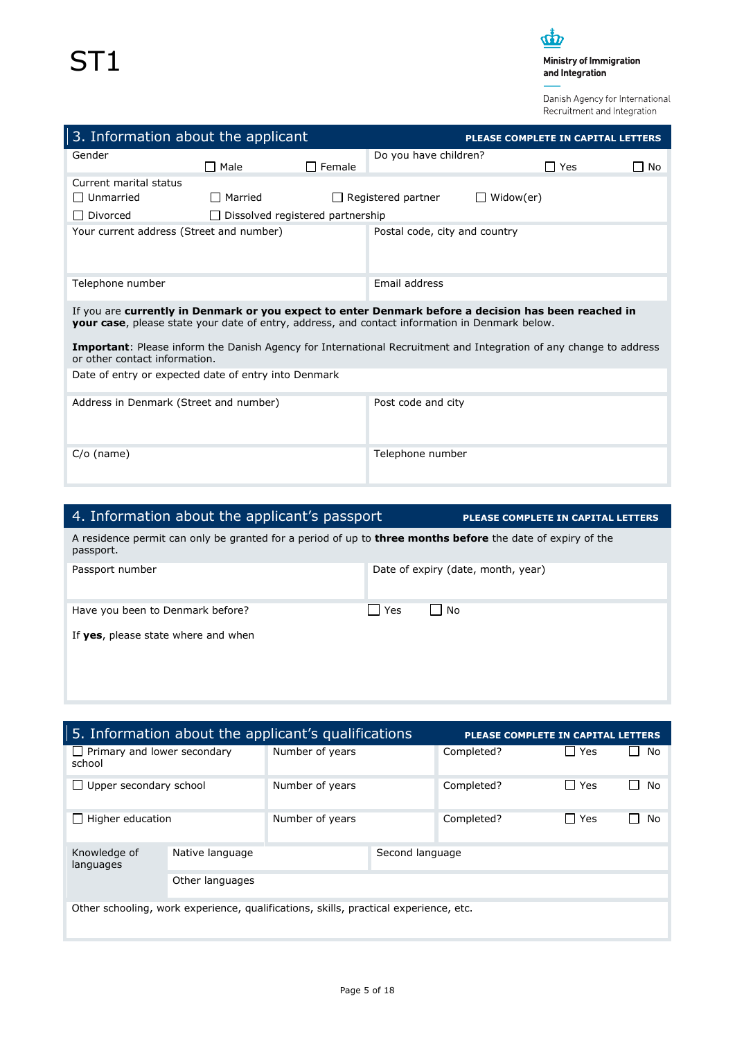

Danish Agency for International Recruitment and Integration

| 3. Information about the applicant                                                                                                                                                                     |                                         |               |                               | <b>PLEASE COMPLETE IN CAPITAL LETTERS</b> |            |      |
|--------------------------------------------------------------------------------------------------------------------------------------------------------------------------------------------------------|-----------------------------------------|---------------|-------------------------------|-------------------------------------------|------------|------|
| Gender                                                                                                                                                                                                 | $\Box$ Male                             | $\Box$ Female | Do you have children?         |                                           | $\Box$ Yes | ∏ No |
| Current marital status                                                                                                                                                                                 |                                         |               |                               |                                           |            |      |
| □ Unmarried                                                                                                                                                                                            | $\Box$ Married                          | $\perp$       | Registered partner            | Widow(er)<br>$\mathbf{I}$                 |            |      |
| □ Divorced                                                                                                                                                                                             | $\Box$ Dissolved registered partnership |               |                               |                                           |            |      |
| Your current address (Street and number)                                                                                                                                                               |                                         |               | Postal code, city and country |                                           |            |      |
| Telephone number                                                                                                                                                                                       |                                         |               | Email address                 |                                           |            |      |
| If you are currently in Denmark or you expect to enter Denmark before a decision has been reached in<br>your case, please state your date of entry, address, and contact information in Denmark below. |                                         |               |                               |                                           |            |      |
| <b>Important:</b> Please inform the Danish Agency for International Recruitment and Integration of any change to address<br>or other contact information.                                              |                                         |               |                               |                                           |            |      |
| Date of entry or expected date of entry into Denmark                                                                                                                                                   |                                         |               |                               |                                           |            |      |
| Address in Denmark (Street and number)                                                                                                                                                                 |                                         |               | Post code and city            |                                           |            |      |
| $C/O$ (name)                                                                                                                                                                                           |                                         |               | Telephone number              |                                           |            |      |

| 4. Information about the applicant's passport                                                                                  |     | PLEASE COMPLETE IN CAPITAL LETTERS |  |  |
|--------------------------------------------------------------------------------------------------------------------------------|-----|------------------------------------|--|--|
| A residence permit can only be granted for a period of up to <b>three months before</b> the date of expiry of the<br>passport. |     |                                    |  |  |
| Passport number                                                                                                                |     | Date of expiry (date, month, year) |  |  |
| Have you been to Denmark before?                                                                                               | Yes | l No                               |  |  |
| If yes, please state where and when                                                                                            |     |                                    |  |  |
|                                                                                                                                |     |                                    |  |  |

| 5. Information about the applicant's qualifications<br>PLEASE COMPLETE IN CAPITAL LETTERS |                 |                 |                 |            |                     |                      |
|-------------------------------------------------------------------------------------------|-----------------|-----------------|-----------------|------------|---------------------|----------------------|
| Primary and lower secondary<br>$\mathbf{I}$<br>school                                     |                 | Number of years |                 | Completed? | l l Yes             | No                   |
| Upper secondary school                                                                    |                 | Number of years |                 | Completed? | $\Box$ Yes          | No<br>$\blacksquare$ |
| Higher education                                                                          |                 | Number of years |                 | Completed? | Yes<br>$\mathsf{L}$ | No                   |
| Knowledge of<br>languages                                                                 | Native language |                 | Second language |            |                     |                      |
| Other languages                                                                           |                 |                 |                 |            |                     |                      |
| Other schooling, work experience, qualifications, skills, practical experience, etc.      |                 |                 |                 |            |                     |                      |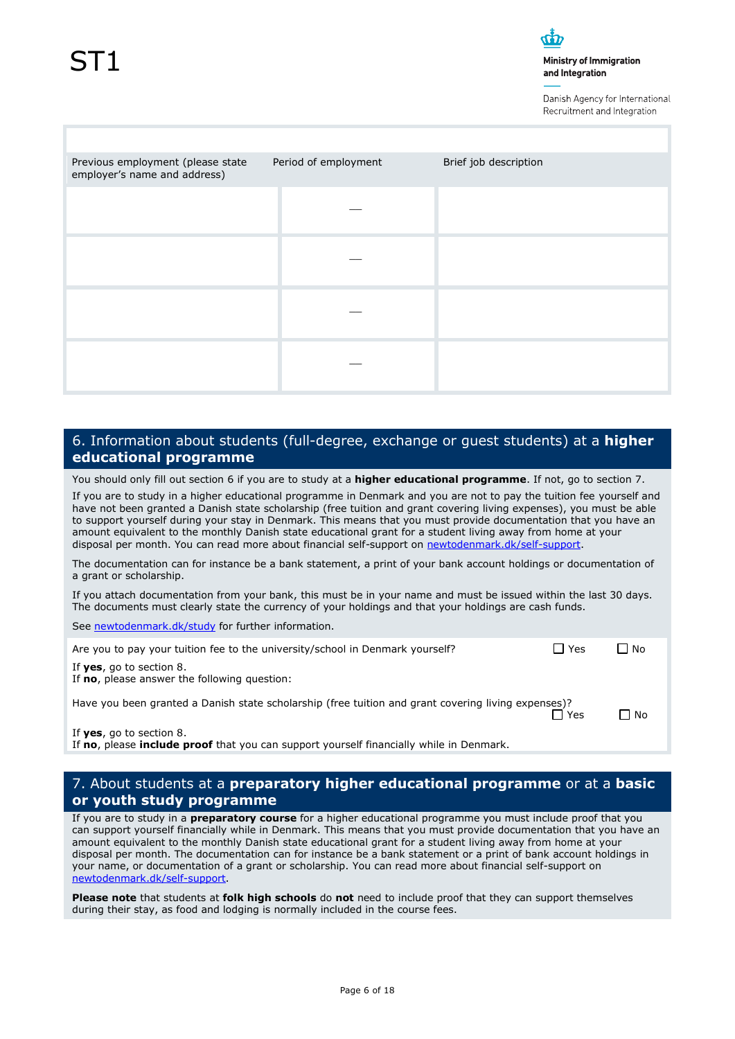Danish Agency for International Recruitment and Integration

| Previous employment (please state<br>employer's name and address) | Period of employment | Brief job description |
|-------------------------------------------------------------------|----------------------|-----------------------|
|                                                                   |                      |                       |
|                                                                   |                      |                       |
|                                                                   |                      |                       |
|                                                                   |                      |                       |

## 6. Information about students (full-degree, exchange or guest students) at a **higher educational programme**

You should only fill out section 6 if you are to study at a **higher educational programme**. If not, go to section 7.

If you are to study in a higher educational programme in Denmark and you are not to pay the tuition fee yourself and have not been granted a Danish state scholarship (free tuition and grant covering living expenses), you must be able to support yourself during your stay in Denmark. This means that you must provide documentation that you have an amount equivalent to the monthly Danish state educational grant for a student living away from home at your disposal per month. You can read more about financial self-support on [newtodenmark.dk/self-support.](http://www.newtodenmark.dk/self-support)

The documentation can for instance be a bank statement, a print of your bank account holdings or documentation of a grant or scholarship.

If you attach documentation from your bank, this must be in your name and must be issued within the last 30 days. The documents must clearly state the currency of your holdings and that your holdings are cash funds.

See [newtodenmark.dk/study](http://www.newtodenmark.dk/study) for further information.

| Are you to pay your tuition fee to the university/school in Denmark yourself? | $\Box$ Yes | $\Box$ No |
|-------------------------------------------------------------------------------|------------|-----------|
| If yes, go to section 8.                                                      |            |           |

If **no**, please answer the following question:

Have you been granted a Danish state scholarship (free tuition and grant covering living expenses)?

No. In the set of the set of the set of the set of the set of the set of the set of the set of the set of the set of the set of the set of the set of the set of the set of the set of the set of the set of the set of the s

If **yes**, go to section 8.

If **no**, please **include proof** that you can support yourself financially while in Denmark.

## 7. About students at a **preparatory higher educational programme** or at a **basic or youth study programme**

If you are to study in a **preparatory course** for a higher educational programme you must include proof that you can support yourself financially while in Denmark. This means that you must provide documentation that you have an amount equivalent to the monthly Danish state educational grant for a student living away from home at your disposal per month. The documentation can for instance be a bank statement or a print of bank account holdings in your name, or documentation of a grant or scholarship. You can read more about financial self-support on [newtodenmark.dk/self-support.](http://www.newtodenmark.dk/self-support)

**Please note** that students at **folk high schools** do **not** need to include proof that they can support themselves during their stay, as food and lodging is normally included in the course fees.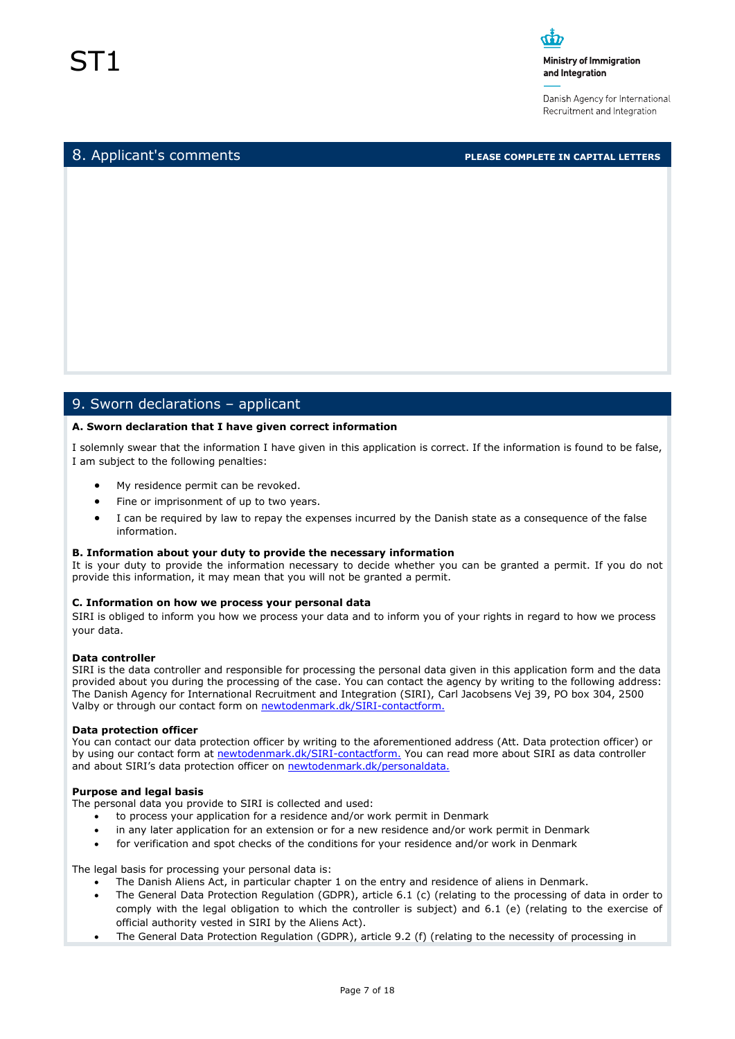Danish Agency for International Recruitment and Integration

8. Applicant's comments **PLEASE COMPLETE IN CAPITAL LETTERS**

## 9. Sworn declarations – applicant

#### **A. Sworn declaration that I have given correct information**

I solemnly swear that the information I have given in this application is correct. If the information is found to be false, I am subject to the following penalties:

- My residence permit can be revoked.
- Fine or imprisonment of up to two years.
- I can be required by law to repay the expenses incurred by the Danish state as a consequence of the false information.

#### **B. Information about your duty to provide the necessary information**

It is your duty to provide the information necessary to decide whether you can be granted a permit. If you do not provide this information, it may mean that you will not be granted a permit.

#### **C. Information on how we process your personal data**

SIRI is obliged to inform you how we process your data and to inform you of your rights in regard to how we process your data.

#### **Data controller**

SIRI is the data controller and responsible for processing the personal data given in this application form and the data provided about you during the processing of the case. You can contact the agency by writing to the following address: The Danish Agency for International Recruitment and Integration (SIRI), Carl Jacobsens Vej 39, PO box 304, 2500 Valby or through our contact form o[n newtodenmark.dk/SIRI-contactform.](http://www.newtodenmark.dk/SIRI-contactform)

#### **Data protection officer**

You can contact our data protection officer by writing to the aforementioned address (Att. Data protection officer) or by using our contact form at [newtodenmark.dk/SIRI-contactform.](http://www.newtodenmark.dk/SIRI-contactform) You can read more about SIRI as data controller and about SIRI's data protection officer on [newtodenmark.dk/personaldata.](http://www.newtodenmark.dk/personaldata)

#### **Purpose and legal basis**

The personal data you provide to SIRI is collected and used:

- to process your application for a residence and/or work permit in Denmark
- in any later application for an extension or for a new residence and/or work permit in Denmark
- for verification and spot checks of the conditions for your residence and/or work in Denmark

The legal basis for processing your personal data is:

- The Danish Aliens Act, in particular chapter 1 on the entry and residence of aliens in Denmark.
- The General Data Protection Regulation (GDPR), article 6.1 (c) (relating to the processing of data in order to comply with the legal obligation to which the controller is subject) and 6.1 (e) (relating to the exercise of official authority vested in SIRI by the Aliens Act).
- The General Data Protection Regulation (GDPR), article 9.2 (f) (relating to the necessity of processing in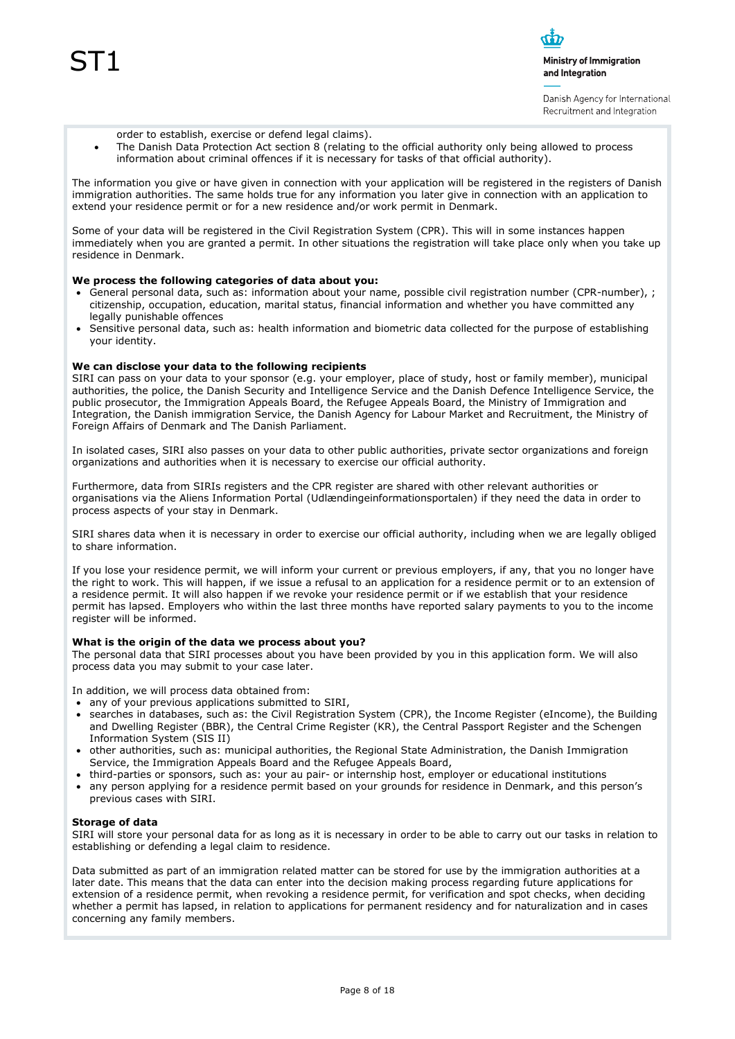

Danish Agency for International Recruitment and Integration

- order to establish, exercise or defend legal claims).
- The Danish Data Protection Act section 8 (relating to the official authority only being allowed to process information about criminal offences if it is necessary for tasks of that official authority).

The information you give or have given in connection with your application will be registered in the registers of Danish immigration authorities. The same holds true for any information you later give in connection with an application to extend your residence permit or for a new residence and/or work permit in Denmark.

Some of your data will be registered in the Civil Registration System (CPR). This will in some instances happen immediately when you are granted a permit. In other situations the registration will take place only when you take up residence in Denmark.

#### **We process the following categories of data about you:**

- General personal data, such as: information about your name, possible civil registration number (CPR-number), ; citizenship, occupation, education, marital status, financial information and whether you have committed any legally punishable offences
- Sensitive personal data, such as: health information and biometric data collected for the purpose of establishing your identity.

#### **We can disclose your data to the following recipients**

SIRI can pass on your data to your sponsor (e.g. your employer, place of study, host or family member), municipal authorities, the police, the Danish Security and Intelligence Service and the Danish Defence Intelligence Service, the public prosecutor, the Immigration Appeals Board, the Refugee Appeals Board, the Ministry of Immigration and Integration, the Danish immigration Service, the Danish Agency for Labour Market and Recruitment, the Ministry of Foreign Affairs of Denmark and The Danish Parliament.

In isolated cases, SIRI also passes on your data to other public authorities, private sector organizations and foreign organizations and authorities when it is necessary to exercise our official authority.

Furthermore, data from SIRIs registers and the CPR register are shared with other relevant authorities or organisations via the Aliens Information Portal (Udlændingeinformationsportalen) if they need the data in order to process aspects of your stay in Denmark.

SIRI shares data when it is necessary in order to exercise our official authority, including when we are legally obliged to share information.

If you lose your residence permit, we will inform your current or previous employers, if any, that you no longer have the right to work. This will happen, if we issue a refusal to an application for a residence permit or to an extension of a residence permit. It will also happen if we revoke your residence permit or if we establish that your residence permit has lapsed. Employers who within the last three months have reported salary payments to you to the income register will be informed.

#### **What is the origin of the data we process about you?**

The personal data that SIRI processes about you have been provided by you in this application form. We will also process data you may submit to your case later.

In addition, we will process data obtained from:

- any of your previous applications submitted to SIRI,
- searches in databases, such as: the Civil Registration System (CPR), the Income Register (eIncome), the Building and Dwelling Register (BBR), the Central Crime Register (KR), the Central Passport Register and the Schengen Information System (SIS II)
- other authorities, such as: municipal authorities, the Regional State Administration, the Danish Immigration Service, the Immigration Appeals Board and the Refugee Appeals Board,
- third-parties or sponsors, such as: your au pair- or internship host, employer or educational institutions
- any person applying for a residence permit based on your grounds for residence in Denmark, and this person's previous cases with SIRI.

#### **Storage of data**

SIRI will store your personal data for as long as it is necessary in order to be able to carry out our tasks in relation to establishing or defending a legal claim to residence.

Data submitted as part of an immigration related matter can be stored for use by the immigration authorities at a later date. This means that the data can enter into the decision making process regarding future applications for extension of a residence permit, when revoking a residence permit, for verification and spot checks, when deciding whether a permit has lapsed, in relation to applications for permanent residency and for naturalization and in cases concerning any family members.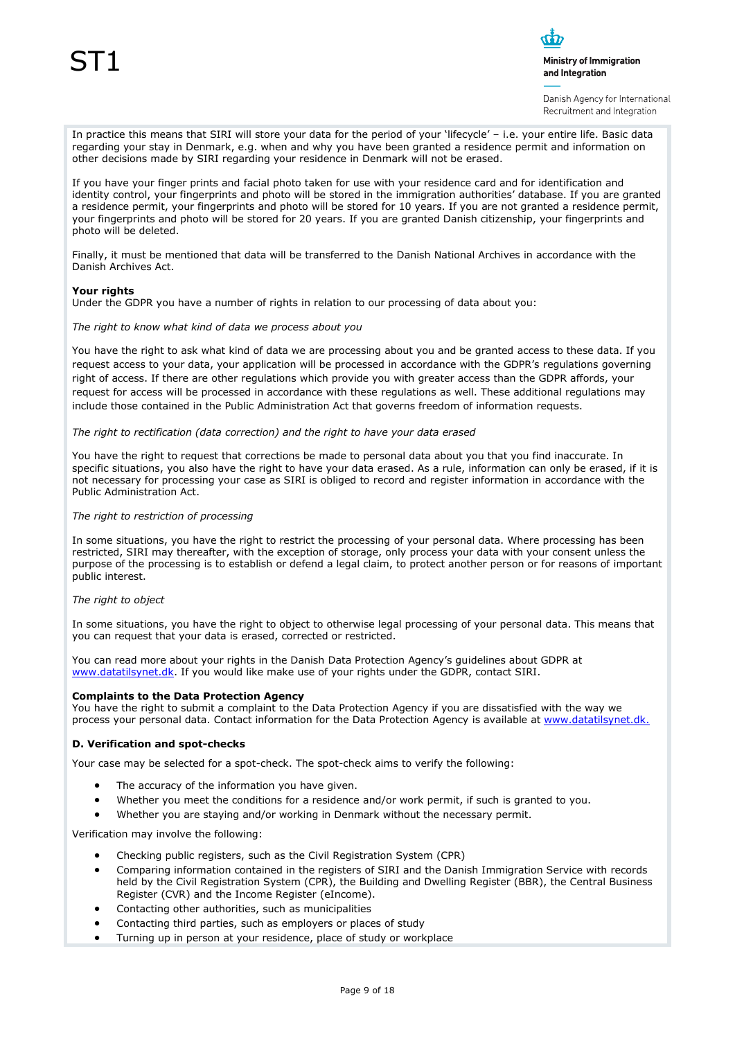

Danish Agency for International Recruitment and Integration

In practice this means that SIRI will store your data for the period of your 'lifecycle' – i.e. your entire life. Basic data regarding your stay in Denmark, e.g. when and why you have been granted a residence permit and information on other decisions made by SIRI regarding your residence in Denmark will not be erased.

If you have your finger prints and facial photo taken for use with your residence card and for identification and identity control, your fingerprints and photo will be stored in the immigration authorities' database. If you are granted a residence permit, your fingerprints and photo will be stored for 10 years. If you are not granted a residence permit, your fingerprints and photo will be stored for 20 years. If you are granted Danish citizenship, your fingerprints and photo will be deleted.

Finally, it must be mentioned that data will be transferred to the Danish National Archives in accordance with the Danish Archives Act.

#### **Your rights**

Under the GDPR you have a number of rights in relation to our processing of data about you:

*The right to know what kind of data we process about you*

You have the right to ask what kind of data we are processing about you and be granted access to these data. If you request access to your data, your application will be processed in accordance with the GDPR's regulations governing right of access. If there are other regulations which provide you with greater access than the GDPR affords, your request for access will be processed in accordance with these regulations as well. These additional regulations may include those contained in the Public Administration Act that governs freedom of information requests.

*The right to rectification (data correction) and the right to have your data erased*

You have the right to request that corrections be made to personal data about you that you find inaccurate. In specific situations, you also have the right to have your data erased. As a rule, information can only be erased, if it is not necessary for processing your case as SIRI is obliged to record and register information in accordance with the Public Administration Act.

#### *The right to restriction of processing*

In some situations, you have the right to restrict the processing of your personal data. Where processing has been restricted, SIRI may thereafter, with the exception of storage, only process your data with your consent unless the purpose of the processing is to establish or defend a legal claim, to protect another person or for reasons of important public interest.

#### *The right to object*

In some situations, you have the right to object to otherwise legal processing of your personal data. This means that you can request that your data is erased, corrected or restricted.

You can read more about your rights in the Danish Data Protection Agency's guidelines about GDPR at [www.datatilsynet.dk.](http://www.datatilsynet.dk/) If you would like make use of your rights under the GDPR, contact SIRI.

#### **Complaints to the Data Protection Agency**

You have the right to submit a complaint to the Data Protection Agency if you are dissatisfied with the way we process your personal data. Contact information for the Data Protection Agency is available a[t www.datatilsynet.dk.](http://www.datatilsynet.dk/)

#### **D. Verification and spot-checks**

Your case may be selected for a spot-check. The spot-check aims to verify the following:

- The accuracy of the information you have given.
- Whether you meet the conditions for a residence and/or work permit, if such is granted to you.
- Whether you are staying and/or working in Denmark without the necessary permit.

Verification may involve the following:

- Checking public registers, such as the Civil Registration System (CPR)
- Comparing information contained in the registers of SIRI and the Danish Immigration Service with records held by the Civil Registration System (CPR), the Building and Dwelling Register (BBR), the Central Business Register (CVR) and the Income Register (eIncome).
- Contacting other authorities, such as municipalities
- Contacting third parties, such as employers or places of study
- Turning up in person at your residence, place of study or workplace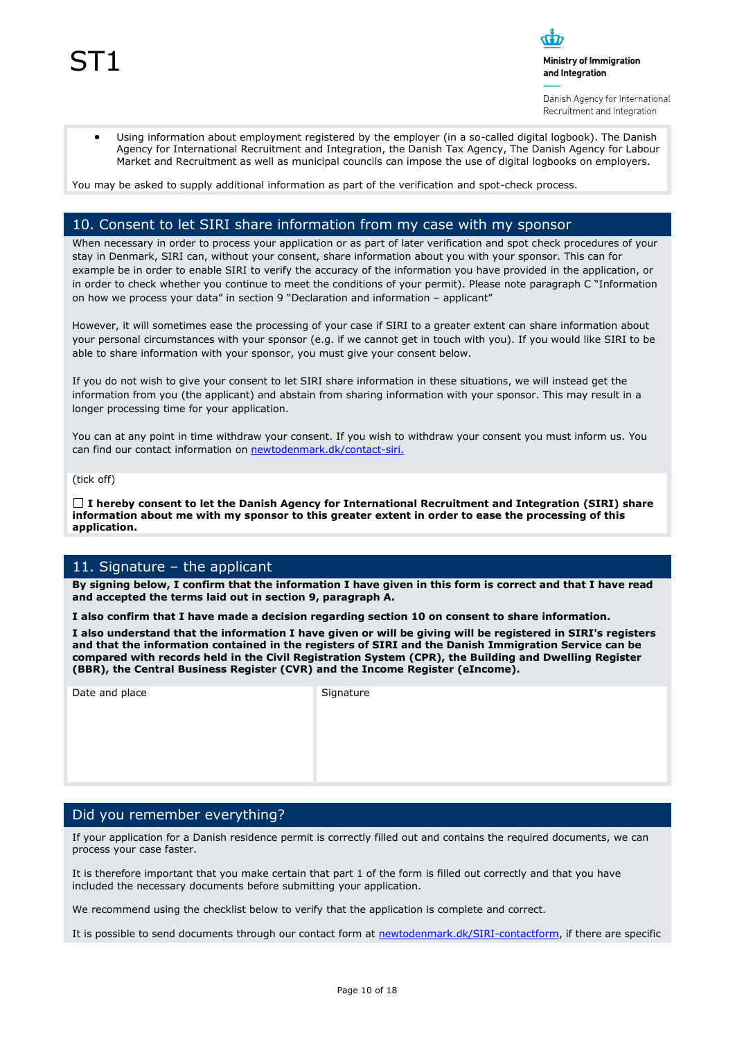Danish Agency for International Recruitment and Integration

 Using information about employment registered by the employer (in a so-called digital logbook). The Danish Agency for International Recruitment and Integration, the Danish Tax Agency, The Danish Agency for Labour Market and Recruitment as well as municipal councils can impose the use of digital logbooks on employers.

You may be asked to supply additional information as part of the verification and spot-check process.

## 10. Consent to let SIRI share information from my case with my sponsor

When necessary in order to process your application or as part of later verification and spot check procedures of your stay in Denmark, SIRI can, without your consent, share information about you with your sponsor. This can for example be in order to enable SIRI to verify the accuracy of the information you have provided in the application, or in order to check whether you continue to meet the conditions of your permit). Please note paragraph C "Information on how we process your data" in section 9 "Declaration and information – applicant"

However, it will sometimes ease the processing of your case if SIRI to a greater extent can share information about your personal circumstances with your sponsor (e.g. if we cannot get in touch with you). If you would like SIRI to be able to share information with your sponsor, you must give your consent below.

If you do not wish to give your consent to let SIRI share information in these situations, we will instead get the information from you (the applicant) and abstain from sharing information with your sponsor. This may result in a longer processing time for your application.

You can at any point in time withdraw your consent. If you wish to withdraw your consent you must inform us. You can find our contact information on [newtodenmark.dk/contact-siri.](http://www.newtodenmark.dk/contact-siri)

(tick off)

**I hereby consent to let the Danish Agency for International Recruitment and Integration (SIRI) share information about me with my sponsor to this greater extent in order to ease the processing of this application.**

## 11. Signature – the applicant

**By signing below, I confirm that the information I have given in this form is correct and that I have read and accepted the terms laid out in section 9, paragraph A.**

**I also confirm that I have made a decision regarding section 10 on consent to share information.**

**I also understand that the information I have given or will be giving will be registered in SIRI's registers and that the information contained in the registers of SIRI and the Danish Immigration Service can be compared with records held in the Civil Registration System (CPR), the Building and Dwelling Register (BBR), the Central Business Register (CVR) and the Income Register (eIncome).**

Date and place Signature

## Did you remember everything?

If your application for a Danish residence permit is correctly filled out and contains the required documents, we can process your case faster.

It is therefore important that you make certain that part 1 of the form is filled out correctly and that you have included the necessary documents before submitting your application.

We recommend using the checklist below to verify that the application is complete and correct.

It is possible to send documents through our contact form at [newtodenmark.dk/SIRI-contactform,](http://www.newtodenmark.dk/SIRI-contactform) if there are specific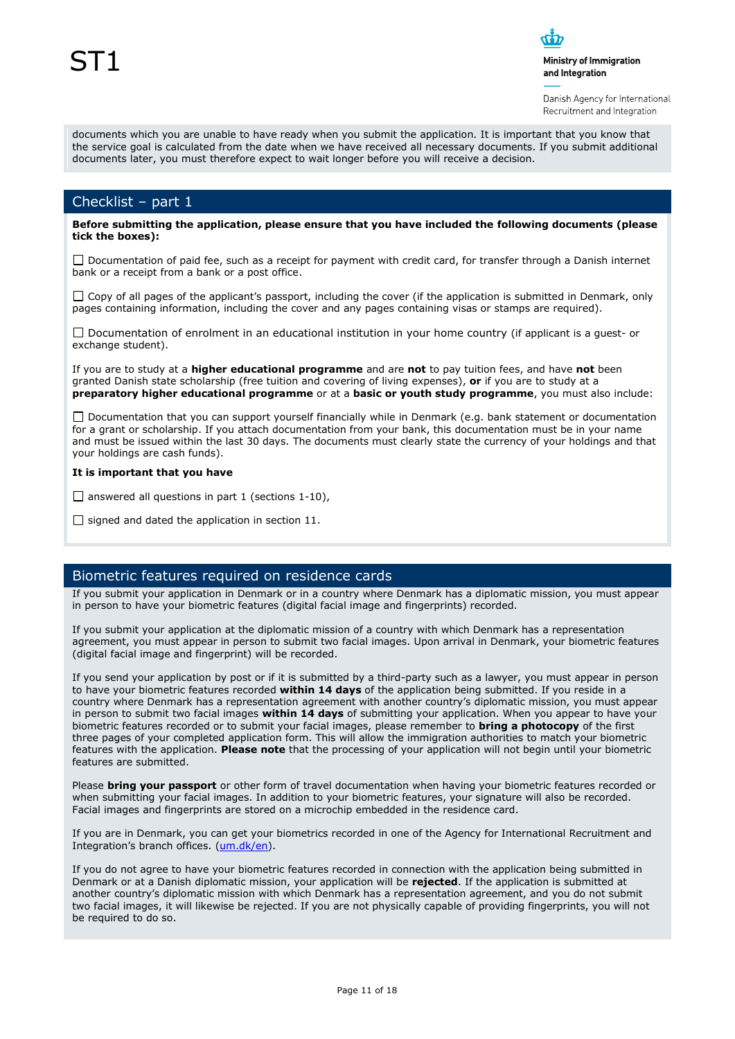

Danish Agency for International Recruitment and Integration

documents which you are unable to have ready when you submit the application. It is important that you know that the service goal is calculated from the date when we have received all necessary documents. If you submit additional documents later, you must therefore expect to wait longer before you will receive a decision.

## Checklist – part 1

**Before submitting the application, please ensure that you have included the following documents (please tick the boxes):**

 $\Box$  Documentation of paid fee, such as a receipt for payment with credit card, for transfer through a Danish internet bank or a receipt from a bank or a post office.

 $\Box$  Copy of all pages of the applicant's passport, including the cover (if the application is submitted in Denmark, only pages containing information, including the cover and any pages containing visas or stamps are required).

 $\Box$  Documentation of enrolment in an educational institution in your home country (if applicant is a quest- or exchange student).

If you are to study at a **higher educational programme** and are **not** to pay tuition fees, and have **not** been granted Danish state scholarship (free tuition and covering of living expenses), **or** if you are to study at a **preparatory higher educational programme** or at a **basic or youth study programme**, you must also include:

 $\Box$  Documentation that you can support yourself financially while in Denmark (e.g. bank statement or documentation for a grant or scholarship. If you attach documentation from your bank, this documentation must be in your name and must be issued within the last 30 days. The documents must clearly state the currency of your holdings and that your holdings are cash funds).

#### **It is important that you have**

 $\Box$  answered all questions in part 1 (sections 1-10),

 $\Box$  signed and dated the application in section 11.

## Biometric features required on residence cards

If you submit your application in Denmark or in a country where Denmark has a diplomatic mission, you must appear in person to have your biometric features (digital facial image and fingerprints) recorded.

If you submit your application at the diplomatic mission of a country with which Denmark has a representation agreement, you must appear in person to submit two facial images. Upon arrival in Denmark, your biometric features (digital facial image and fingerprint) will be recorded.

If you send your application by post or if it is submitted by a third-party such as a lawyer, you must appear in person to have your biometric features recorded **within 14 days** of the application being submitted. If you reside in a country where Denmark has a representation agreement with another country's diplomatic mission, you must appear in person to submit two facial images **within 14 days** of submitting your application. When you appear to have your biometric features recorded or to submit your facial images, please remember to **bring a photocopy** of the first three pages of your completed application form. This will allow the immigration authorities to match your biometric features with the application. **Please note** that the processing of your application will not begin until your biometric features are submitted.

Please **bring your passport** or other form of travel documentation when having your biometric features recorded or when submitting your facial images. In addition to your biometric features, your signature will also be recorded. Facial images and fingerprints are stored on a microchip embedded in the residence card.

If you are in Denmark, you can get your biometrics recorded in one of the Agency for International Recruitment and Integration's branch offices. [\(um.dk/en\)](http://www.um.dk/en).

If you do not agree to have your biometric features recorded in connection with the application being submitted in Denmark or at a Danish diplomatic mission, your application will be **rejected**. If the application is submitted at another country's diplomatic mission with which Denmark has a representation agreement, and you do not submit two facial images, it will likewise be rejected. If you are not physically capable of providing fingerprints, you will not be required to do so.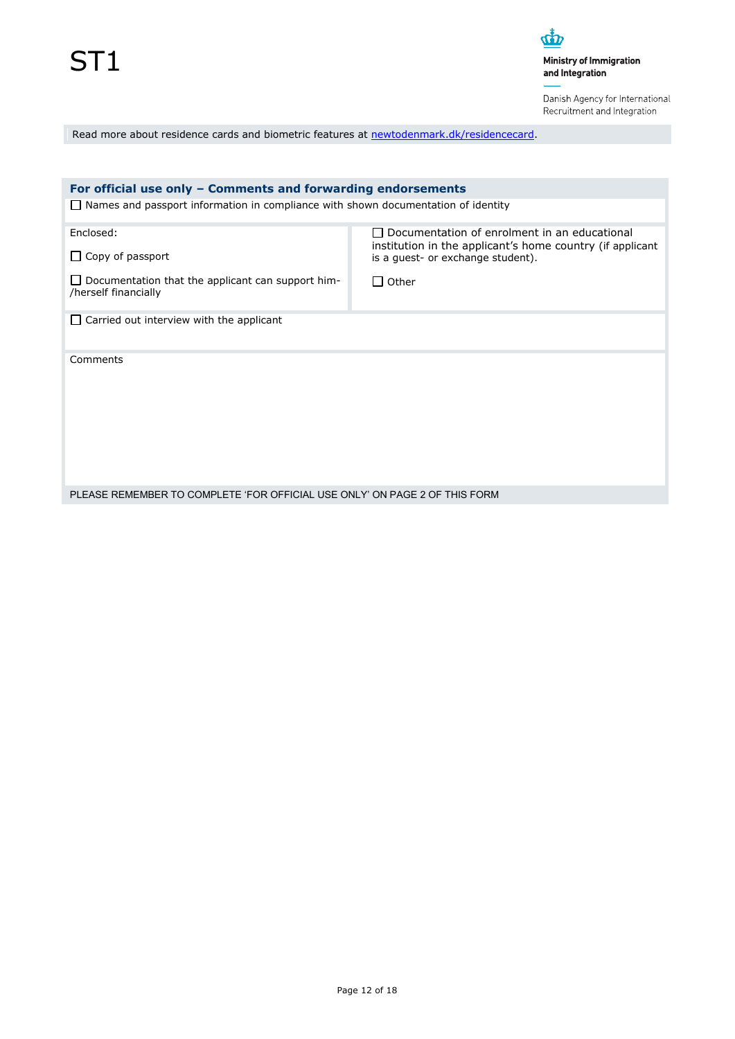Danish Agency for International Recruitment and Integration

Read more about residence cards and biometric features at [newtodenmark.dk/residencecard.](http://www.newtodenmark.dk/residencecard)

| For official use only – Comments and forwarding endorsements                             |                                                                                                                           |  |  |
|------------------------------------------------------------------------------------------|---------------------------------------------------------------------------------------------------------------------------|--|--|
| $\Box$ Names and passport information in compliance with shown documentation of identity |                                                                                                                           |  |  |
| Enclosed:                                                                                | Documentation of enrolment in an educational<br>$\mathsf{L}$<br>institution in the applicant's home country (if applicant |  |  |
| $\Box$ Copy of passport                                                                  | is a guest- or exchange student).                                                                                         |  |  |
| $\Box$ Documentation that the applicant can support him-<br>/herself financially         | $\Box$ Other                                                                                                              |  |  |
| $\Box$ Carried out interview with the applicant                                          |                                                                                                                           |  |  |
| Comments                                                                                 |                                                                                                                           |  |  |
| PLEASE REMEMBER TO COMPLETE 'FOR OFFICIAL USE ONLY' ON PAGE 2 OF THIS FORM               |                                                                                                                           |  |  |
|                                                                                          |                                                                                                                           |  |  |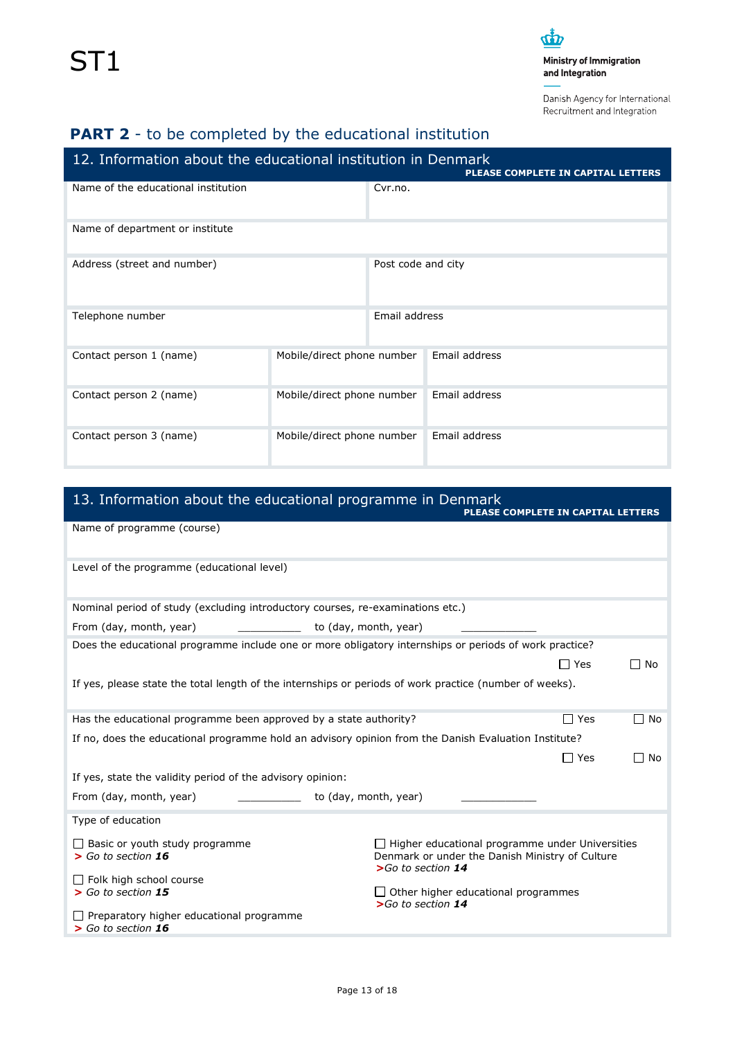Danish Agency for International Recruitment and Integration

## **PART 2** - to be completed by the educational institution

| 12. Information about the educational institution in Denmark<br>PLEASE COMPLETE IN CAPITAL LETTERS |                            |                    |               |  |
|----------------------------------------------------------------------------------------------------|----------------------------|--------------------|---------------|--|
| Name of the educational institution                                                                |                            | Cvr.no.            |               |  |
| Name of department or institute                                                                    |                            |                    |               |  |
| Address (street and number)                                                                        |                            | Post code and city |               |  |
| Telephone number                                                                                   |                            | Email address      |               |  |
| Contact person 1 (name)                                                                            | Mobile/direct phone number |                    | Email address |  |
| Contact person 2 (name)<br>Mobile/direct phone number                                              |                            |                    | Email address |  |
| Contact person 3 (name)                                                                            | Mobile/direct phone number |                    | Email address |  |

## 13. Information about the educational programme in Denmark

|                                                                                | PLEASE COMPLETE IN CAPITAL LETTERS                                                                                                |            |      |
|--------------------------------------------------------------------------------|-----------------------------------------------------------------------------------------------------------------------------------|------------|------|
| Name of programme (course)                                                     |                                                                                                                                   |            |      |
|                                                                                |                                                                                                                                   |            |      |
| Level of the programme (educational level)                                     |                                                                                                                                   |            |      |
| Nominal period of study (excluding introductory courses, re-examinations etc.) |                                                                                                                                   |            |      |
| From (day, month, year)                                                        | to (day, month, year)                                                                                                             |            |      |
|                                                                                | Does the educational programme include one or more obligatory internships or periods of work practice?                            |            |      |
|                                                                                |                                                                                                                                   | $\Box$ Yes | □ No |
|                                                                                | If yes, please state the total length of the internships or periods of work practice (number of weeks).                           |            |      |
|                                                                                |                                                                                                                                   |            |      |
| Has the educational programme been approved by a state authority?              |                                                                                                                                   | $\Box$ Yes | ∏ No |
|                                                                                | If no, does the educational programme hold an advisory opinion from the Danish Evaluation Institute?                              |            |      |
|                                                                                |                                                                                                                                   | $\Box$ Yes | □ No |
| If yes, state the validity period of the advisory opinion:                     |                                                                                                                                   |            |      |
| From (day, month, year)                                                        | to (day, month, year)                                                                                                             |            |      |
| Type of education                                                              |                                                                                                                                   |            |      |
| $\Box$ Basic or youth study programme<br>$>$ Go to section 16                  | $\Box$ Higher educational programme under Universities<br>Denmark or under the Danish Ministry of Culture<br>$>$ Go to section 14 |            |      |
| $\Box$ Folk high school course<br>$>$ Go to section 15                         | $\Box$ Other higher educational programmes<br>$>$ Go to section 14                                                                |            |      |
| Preparatory higher educational programme<br>$>$ Go to section 16               |                                                                                                                                   |            |      |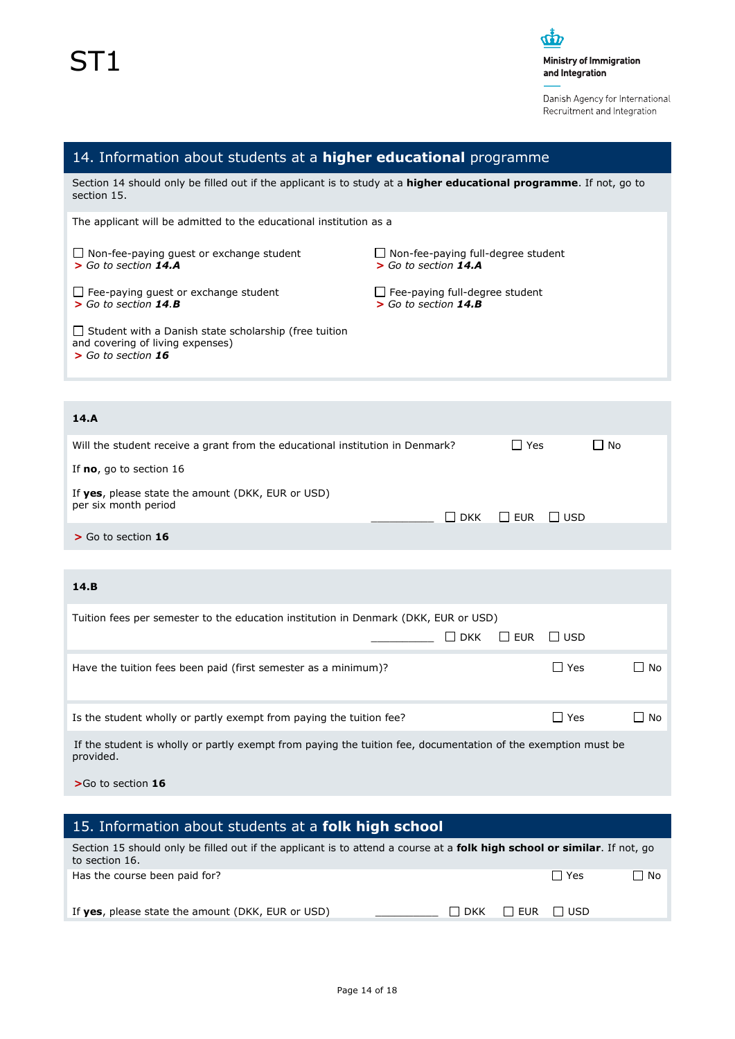

Danish Agency for International Recruitment and Integration

| 14. Information about students at a higher educational programme                                                                          |                                                                     |
|-------------------------------------------------------------------------------------------------------------------------------------------|---------------------------------------------------------------------|
| Section 14 should only be filled out if the applicant is to study at a <b>higher educational programme</b> . If not, go to<br>section 15. |                                                                     |
| The applicant will be admitted to the educational institution as a                                                                        |                                                                     |
| $\Box$ Non-fee-paying quest or exchange student<br>$>$ Go to section 14.A                                                                 | $\Box$ Non-fee-paying full-degree student<br>$>$ Go to section 14.A |
| $\Box$ Fee-paying quest or exchange student<br>$>$ Go to section 14.B                                                                     | $\Box$ Fee-paying full-degree student<br>$>$ Go to section 14.B     |
| $\Box$ Student with a Danish state scholarship (free tuition<br>and covering of living expenses)<br>$>$ Go to section 16                  |                                                                     |

## **14.A**

| Will the student receive a grant from the educational institution in Denmark? | l Yes                            | $\Box$ No |
|-------------------------------------------------------------------------------|----------------------------------|-----------|
| If $no$ , go to section 16                                                    |                                  |           |
| If yes, please state the amount (DKK, EUR or USD)<br>per six month period     | $\Box$ DKK $\Box$ EUR $\Box$ USD |           |
| $>$ Go to section 16                                                          |                                  |           |

## **14.B**

| Tuition fees per semester to the education institution in Denmark (DKK, EUR or USD)                                        |         |        |  |  |
|----------------------------------------------------------------------------------------------------------------------------|---------|--------|--|--|
| <b>DKK</b><br>I LEUR<br>$\mathbf{I}$                                                                                       | l I usd |        |  |  |
| Have the tuition fees been paid (first semester as a minimum)?                                                             | l Yes   | - I No |  |  |
| Is the student wholly or partly exempt from paying the tuition fee?                                                        | l Yes   | □ No   |  |  |
| If the student is wholly or partly exempt from paying the tuition fee, documentation of the exemption must be<br>provided. |         |        |  |  |

**>**Go to section **16**

| 15. Information about students at a <b>folk high school</b>                                                                                        |                                  |
|----------------------------------------------------------------------------------------------------------------------------------------------------|----------------------------------|
| Section 15 should only be filled out if the applicant is to attend a course at a <b>folk high school or similar</b> . If not, go<br>to section 16. |                                  |
| Has the course been paid for?                                                                                                                      | $\Box$ No<br>$\Box$ Yes          |
| If yes, please state the amount (DKK, EUR or USD)                                                                                                  | <b>ILLEUR</b> LUSD<br>$\Box$ DKK |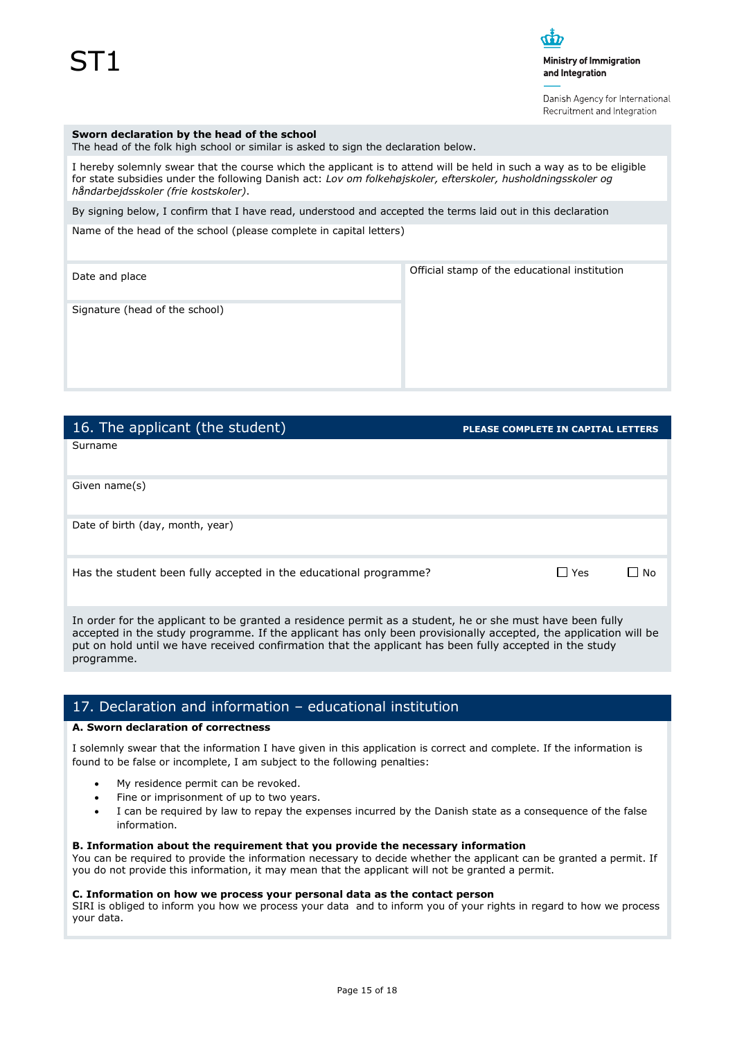Danish Agency for International Recruitment and Integration

#### **Sworn declaration by the head of the school**

The head of the folk high school or similar is asked to sign the declaration below.

I hereby solemnly swear that the course which the applicant is to attend will be held in such a way as to be eligible for state subsidies under the following Danish act: *Lov om folkehøjskoler, efterskoler, husholdningsskoler og håndarbejdsskoler (frie kostskoler)*.

By signing below, I confirm that I have read, understood and accepted the terms laid out in this declaration

Name of the head of the school (please complete in capital letters)

Date and place **Official stamp of the educational institution** 

Signature (head of the school)

| 16. The applicant (the student)                                   | <b>PLEASE COMPLETE IN CAPITAL LETTERS</b> |
|-------------------------------------------------------------------|-------------------------------------------|
| Surname                                                           |                                           |
| Given name(s)                                                     |                                           |
| Date of birth (day, month, year)                                  |                                           |
| Has the student been fully accepted in the educational programme? | $\Box$ Yes<br>No                          |

In order for the applicant to be granted a residence permit as a student, he or she must have been fully accepted in the study programme. If the applicant has only been provisionally accepted, the application will be put on hold until we have received confirmation that the applicant has been fully accepted in the study programme.

## 17. Declaration and information – educational institution

### **A. Sworn declaration of correctness**

I solemnly swear that the information I have given in this application is correct and complete. If the information is found to be false or incomplete, I am subject to the following penalties:

- My residence permit can be revoked.
- Fine or imprisonment of up to two years.
- I can be required by law to repay the expenses incurred by the Danish state as a consequence of the false information.

#### **B. Information about the requirement that you provide the necessary information**

You can be required to provide the information necessary to decide whether the applicant can be granted a permit. If you do not provide this information, it may mean that the applicant will not be granted a permit.

#### **C. Information on how we process your personal data as the contact person**

SIRI is obliged to inform you how we process your data and to inform you of your rights in regard to how we process your data.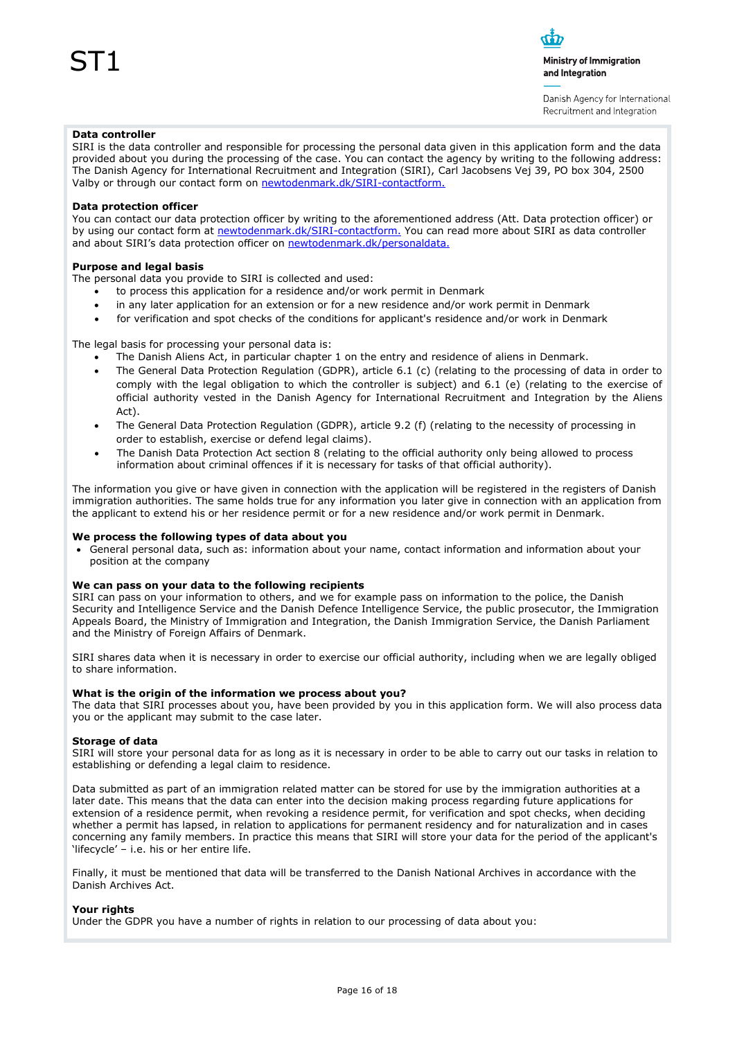Danish Agency for International Recruitment and Integration

#### **Data controller**

SIRI is the data controller and responsible for processing the personal data given in this application form and the data provided about you during the processing of the case. You can contact the agency by writing to the following address: The Danish Agency for International Recruitment and Integration (SIRI), Carl Jacobsens Vej 39, PO box 304, 2500 Valby or through our contact form on [newtodenmark.dk/SIRI-contactform.](http://www.newtodenmark.dk/SIRI-contactform)

#### **Data protection officer**

You can contact our data protection officer by writing to the aforementioned address (Att. Data protection officer) or by using our contact form at [newtodenmark.dk/SIRI-contactform.](http://www.newtodenmark.dk/SIRI-contactform) You can read more about SIRI as data controller and about SIRI's data protection officer on [newtodenmark.dk/personaldata.](http://www.newtodenmark.dk/personaldata)

#### **Purpose and legal basis**

The personal data you provide to SIRI is collected and used:

- to process this application for a residence and/or work permit in Denmark
- in any later application for an extension or for a new residence and/or work permit in Denmark
- for verification and spot checks of the conditions for applicant's residence and/or work in Denmark

The legal basis for processing your personal data is:

- The Danish Aliens Act, in particular chapter 1 on the entry and residence of aliens in Denmark.
- The General Data Protection Regulation (GDPR), article 6.1 (c) (relating to the processing of data in order to comply with the legal obligation to which the controller is subject) and 6.1 (e) (relating to the exercise of official authority vested in the Danish Agency for International Recruitment and Integration by the Aliens Act).
- The General Data Protection Regulation (GDPR), article 9.2 (f) (relating to the necessity of processing in order to establish, exercise or defend legal claims).
- The Danish Data Protection Act section 8 (relating to the official authority only being allowed to process information about criminal offences if it is necessary for tasks of that official authority).

The information you give or have given in connection with the application will be registered in the registers of Danish immigration authorities. The same holds true for any information you later give in connection with an application from the applicant to extend his or her residence permit or for a new residence and/or work permit in Denmark.

#### **We process the following types of data about you**

 General personal data, such as: information about your name, contact information and information about your position at the company

#### **We can pass on your data to the following recipients**

SIRI can pass on your information to others, and we for example pass on information to the police, the Danish Security and Intelligence Service and the Danish Defence Intelligence Service, the public prosecutor, the Immigration Appeals Board, the Ministry of Immigration and Integration, the Danish Immigration Service, the Danish Parliament and the Ministry of Foreign Affairs of Denmark.

SIRI shares data when it is necessary in order to exercise our official authority, including when we are legally obliged to share information.

#### **What is the origin of the information we process about you?**

The data that SIRI processes about you, have been provided by you in this application form. We will also process data you or the applicant may submit to the case later.

#### **Storage of data**

SIRI will store your personal data for as long as it is necessary in order to be able to carry out our tasks in relation to establishing or defending a legal claim to residence.

Data submitted as part of an immigration related matter can be stored for use by the immigration authorities at a later date. This means that the data can enter into the decision making process regarding future applications for extension of a residence permit, when revoking a residence permit, for verification and spot checks, when deciding whether a permit has lapsed, in relation to applications for permanent residency and for naturalization and in cases concerning any family members. In practice this means that SIRI will store your data for the period of the applicant's 'lifecycle' – i.e. his or her entire life.

Finally, it must be mentioned that data will be transferred to the Danish National Archives in accordance with the Danish Archives Act.

#### **Your rights**

Under the GDPR you have a number of rights in relation to our processing of data about you: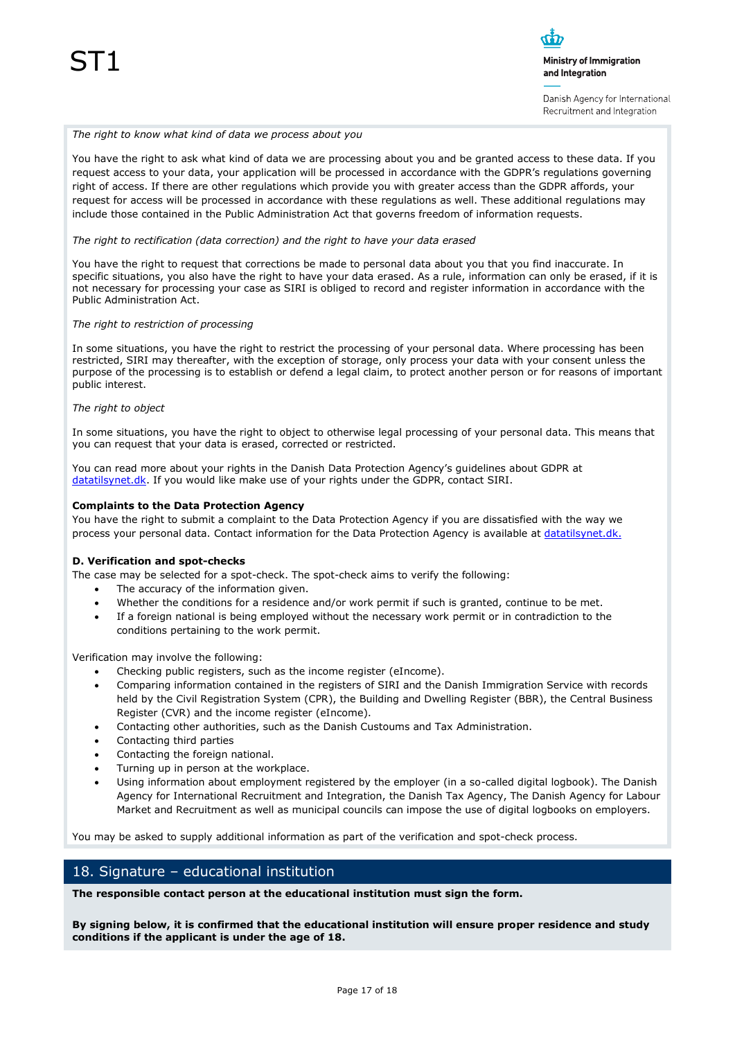Danish Agency for International Recruitment and Integration

#### *The right to know what kind of data we process about you*

You have the right to ask what kind of data we are processing about you and be granted access to these data. If you request access to your data, your application will be processed in accordance with the GDPR's regulations governing right of access. If there are other regulations which provide you with greater access than the GDPR affords, your request for access will be processed in accordance with these regulations as well. These additional regulations may include those contained in the Public Administration Act that governs freedom of information requests.

#### *The right to rectification (data correction) and the right to have your data erased*

You have the right to request that corrections be made to personal data about you that you find inaccurate. In specific situations, you also have the right to have your data erased. As a rule, information can only be erased, if it is not necessary for processing your case as SIRI is obliged to record and register information in accordance with the Public Administration Act.

#### *The right to restriction of processing*

In some situations, you have the right to restrict the processing of your personal data. Where processing has been restricted, SIRI may thereafter, with the exception of storage, only process your data with your consent unless the purpose of the processing is to establish or defend a legal claim, to protect another person or for reasons of important public interest.

#### *The right to object*

In some situations, you have the right to object to otherwise legal processing of your personal data. This means that you can request that your data is erased, corrected or restricted.

You can read more about your rights in the Danish Data Protection Agency's guidelines about GDPR at [datatilsynet.dk.](http://www.datatilsynet.dk/) If you would like make use of your rights under the GDPR, contact SIRI.

#### **Complaints to the Data Protection Agency**

You have the right to submit a complaint to the Data Protection Agency if you are dissatisfied with the way we process your personal data. Contact information for the Data Protection Agency is available at [datatilsynet.dk.](http://www.datatilsynet.dk/)

#### **D. Verification and spot-checks**

The case may be selected for a spot-check. The spot-check aims to verify the following:

- The accuracy of the information given.
- Whether the conditions for a residence and/or work permit if such is granted, continue to be met.
- If a foreign national is being employed without the necessary work permit or in contradiction to the conditions pertaining to the work permit.

Verification may involve the following:

- Checking public registers, such as the income register (eIncome).
- Comparing information contained in the registers of SIRI and the Danish Immigration Service with records held by the Civil Registration System (CPR), the Building and Dwelling Register (BBR), the Central Business Register (CVR) and the income register (eIncome).
- Contacting other authorities, such as the Danish Custoums and Tax Administration.
- Contacting third parties
- Contacting the foreign national.
- Turning up in person at the workplace.
- Using information about employment registered by the employer (in a so-called digital logbook). The Danish Agency for International Recruitment and Integration, the Danish Tax Agency, The Danish Agency for Labour Market and Recruitment as well as municipal councils can impose the use of digital logbooks on employers.

You may be asked to supply additional information as part of the verification and spot-check process.

### 18. Signature – educational institution

**The responsible contact person at the educational institution must sign the form.**

**By signing below, it is confirmed that the educational institution will ensure proper residence and study conditions if the applicant is under the age of 18.**